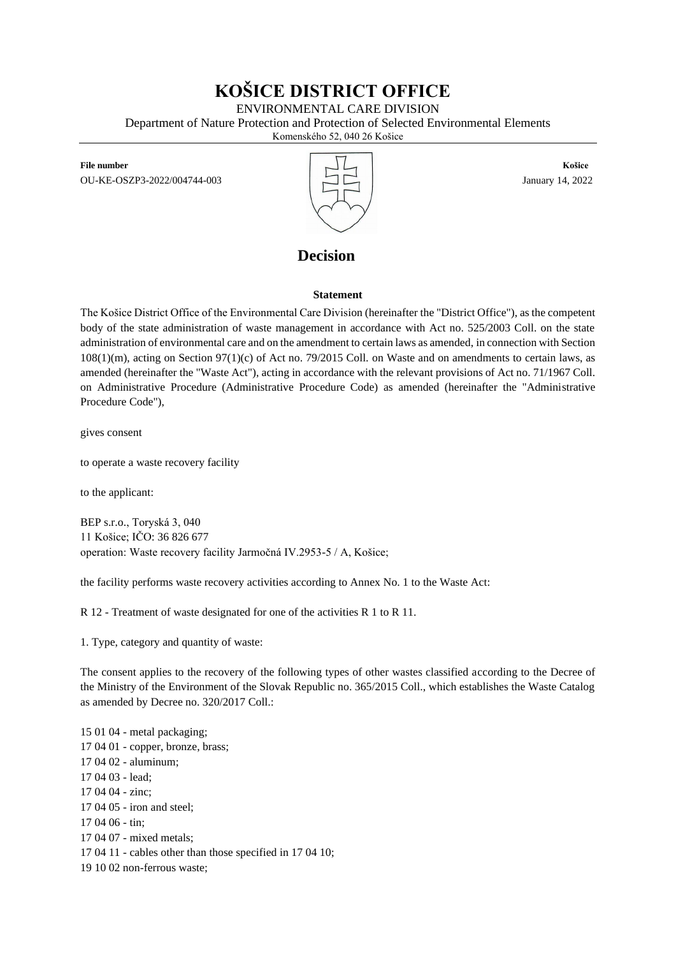# **KOŠICE DISTRICT OFFICE**

ENVIRONMENTAL CARE DIVISION

Department of Nature Protection and Protection of Selected Environmental Elements

Komenského 52, 040 26 Košice

**File number Košice** OU-KE-OSZP3-2022/004744-003 January 14, 2022



## **Decision**

### **Statement**

The Košice District Office of the Environmental Care Division (hereinafter the "District Office"), as the competent body of the state administration of waste management in accordance with Act no. 525/2003 Coll. on the state administration of environmental care and on the amendment to certain laws as amended, in connection with Section 108(1)(m), acting on Section 97(1)(c) of Act no. 79/2015 Coll. on Waste and on amendments to certain laws, as amended (hereinafter the "Waste Act"), acting in accordance with the relevant provisions of Act no. 71/1967 Coll. on Administrative Procedure (Administrative Procedure Code) as amended (hereinafter the "Administrative Procedure Code"),

gives consent

to operate a waste recovery facility

to the applicant:

BEP s.r.o., Toryská 3, 040 11 Košice; IČO: 36 826 677 operation: Waste recovery facility Jarmočná IV.2953-5 / A, Košice;

the facility performs waste recovery activities according to Annex No. 1 to the Waste Act:

R 12 - Treatment of waste designated for one of the activities R 1 to R 11.

1. Type, category and quantity of waste:

The consent applies to the recovery of the following types of other wastes classified according to the Decree of the Ministry of the Environment of the Slovak Republic no. 365/2015 Coll., which establishes the Waste Catalog as amended by Decree no. 320/2017 Coll.:

15 01 04 - metal packaging; 17 04 01 - copper, bronze, brass; 17 04 02 - aluminum; 17 04 03 - lead; 17 04 04 - zinc; 17 04 05 - iron and steel; 17 04 06 - tin; 17 04 07 - mixed metals; 17 04 11 - cables other than those specified in 17 04 10; 19 10 02 non-ferrous waste;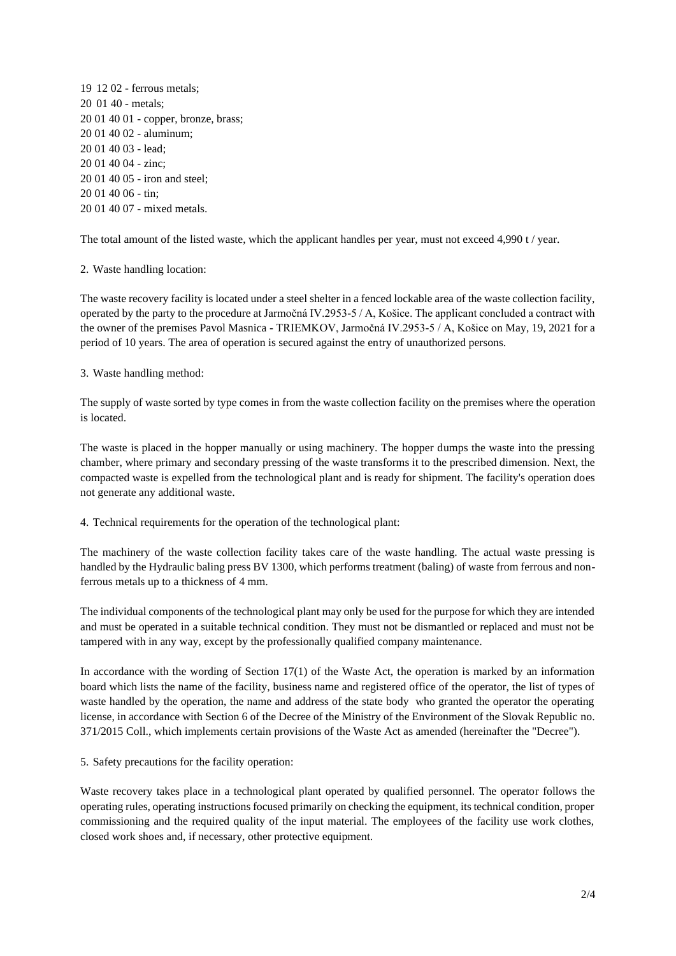19 12 02 - ferrous metals; 20 01 40 - metals; 20 01 40 01 - copper, bronze, brass; 20 01 40 02 - aluminum; 20 01 40 03 - lead; 20 01 40 04 - zinc; 20 01 40 05 - iron and steel; 20 01 40 06 - tin; 20 01 40 07 - mixed metals.

The total amount of the listed waste, which the applicant handles per year, must not exceed 4,990 t / year.

### 2. Waste handling location:

The waste recovery facility is located under a steel shelter in a fenced lockable area of the waste collection facility, operated by the party to the procedure at Jarmočná IV.2953-5 / A, Košice. The applicant concluded a contract with the owner of the premises Pavol Masnica - TRIEMKOV, Jarmočná IV.2953-5 / A, Košice on May, 19, 2021 for a period of 10 years. The area of operation is secured against the entry of unauthorized persons.

#### 3. Waste handling method:

The supply of waste sorted by type comes in from the waste collection facility on the premises where the operation is located.

The waste is placed in the hopper manually or using machinery. The hopper dumps the waste into the pressing chamber, where primary and secondary pressing of the waste transforms it to the prescribed dimension. Next, the compacted waste is expelled from the technological plant and is ready for shipment. The facility's operation does not generate any additional waste.

4. Technical requirements for the operation of the technological plant:

The machinery of the waste collection facility takes care of the waste handling. The actual waste pressing is handled by the Hydraulic baling press BV 1300, which performs treatment (baling) of waste from ferrous and nonferrous metals up to a thickness of 4 mm.

The individual components of the technological plant may only be used for the purpose for which they are intended and must be operated in a suitable technical condition. They must not be dismantled or replaced and must not be tampered with in any way, except by the professionally qualified company maintenance.

In accordance with the wording of Section 17(1) of the Waste Act, the operation is marked by an information board which lists the name of the facility, business name and registered office of the operator, the list of types of waste handled by the operation, the name and address of the state body who granted the operator the operating license, in accordance with Section 6 of the Decree of the Ministry of the Environment of the Slovak Republic no. 371/2015 Coll., which implements certain provisions of the Waste Act as amended (hereinafter the "Decree").

5. Safety precautions for the facility operation:

Waste recovery takes place in a technological plant operated by qualified personnel. The operator follows the operating rules, operating instructions focused primarily on checking the equipment, its technical condition, proper commissioning and the required quality of the input material. The employees of the facility use work clothes, closed work shoes and, if necessary, other protective equipment.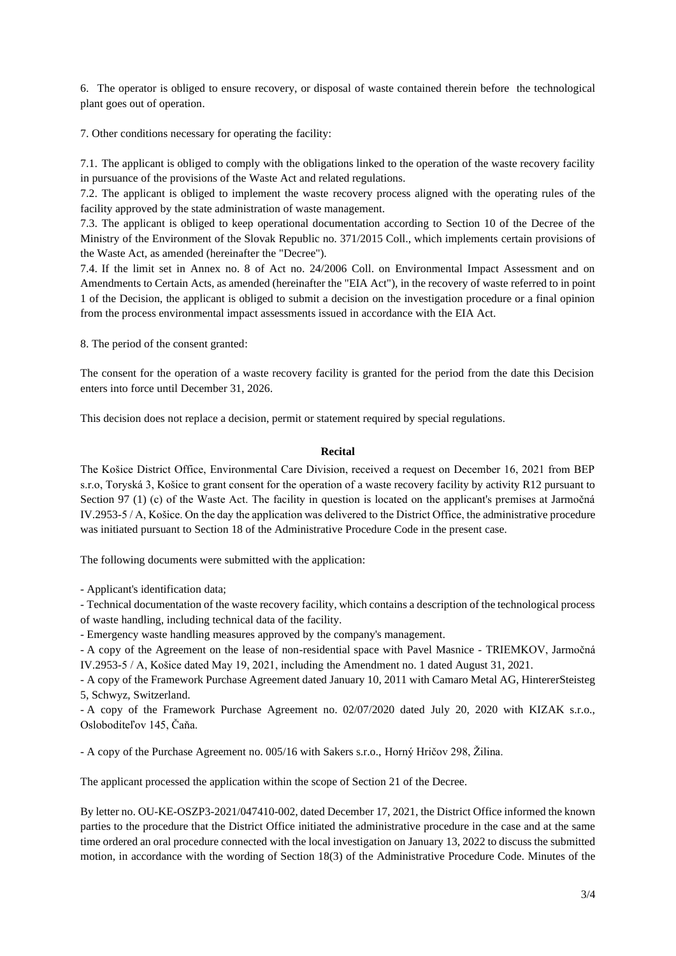6. The operator is obliged to ensure recovery, or disposal of waste contained therein before the technological plant goes out of operation.

7. Other conditions necessary for operating the facility:

7.1. The applicant is obliged to comply with the obligations linked to the operation of the waste recovery facility in pursuance of the provisions of the Waste Act and related regulations.

7.2. The applicant is obliged to implement the waste recovery process aligned with the operating rules of the facility approved by the state administration of waste management.

7.3. The applicant is obliged to keep operational documentation according to Section 10 of the Decree of the Ministry of the Environment of the Slovak Republic no. 371/2015 Coll., which implements certain provisions of the Waste Act, as amended (hereinafter the "Decree").

7.4. If the limit set in Annex no. 8 of Act no. 24/2006 Coll. on Environmental Impact Assessment and on Amendments to Certain Acts, as amended (hereinafter the "EIA Act"), in the recovery of waste referred to in point 1 of the Decision, the applicant is obliged to submit a decision on the investigation procedure or a final opinion from the process environmental impact assessments issued in accordance with the EIA Act.

8. The period of the consent granted:

The consent for the operation of a waste recovery facility is granted for the period from the date this Decision enters into force until December 31, 2026.

This decision does not replace a decision, permit or statement required by special regulations.

#### **Recital**

The Košice District Office, Environmental Care Division, received a request on December 16, 2021 from BEP s.r.o, Toryská 3, Košice to grant consent for the operation of a waste recovery facility by activity R12 pursuant to Section 97 (1) (c) of the Waste Act. The facility in question is located on the applicant's premises at Jarmočná IV.2953-5 / A, Košice. On the day the application was delivered to the District Office, the administrative procedure was initiated pursuant to Section 18 of the Administrative Procedure Code in the present case.

The following documents were submitted with the application:

- Applicant's identification data;

- Technical documentation of the waste recovery facility, which contains a description of the technological process of waste handling, including technical data of the facility.

- Emergency waste handling measures approved by the company's management.

- A copy of the Agreement on the lease of non-residential space with Pavel Masnice - TRIEMKOV, Jarmočná IV.2953-5 / A, Košice dated May 19, 2021, including the Amendment no. 1 dated August 31, 2021.

- A copy of the Framework Purchase Agreement dated January 10, 2011 with Camaro Metal AG, HintererSteisteg 5, Schwyz, Switzerland.

- A copy of the Framework Purchase Agreement no. 02/07/2020 dated July 20, 2020 with KIZAK s.r.o., Osloboditeľov 145, Čaňa.

- A copy of the Purchase Agreement no. 005/16 with Sakers s.r.o., Horný Hričov 298, Žilina.

The applicant processed the application within the scope of Section 21 of the Decree.

By letter no. OU-KE-OSZP3-2021/047410-002, dated December 17, 2021, the District Office informed the known parties to the procedure that the District Office initiated the administrative procedure in the case and at the same time ordered an oral procedure connected with the local investigation on January 13, 2022 to discuss the submitted motion, in accordance with the wording of Section 18(3) of the Administrative Procedure Code. Minutes of the